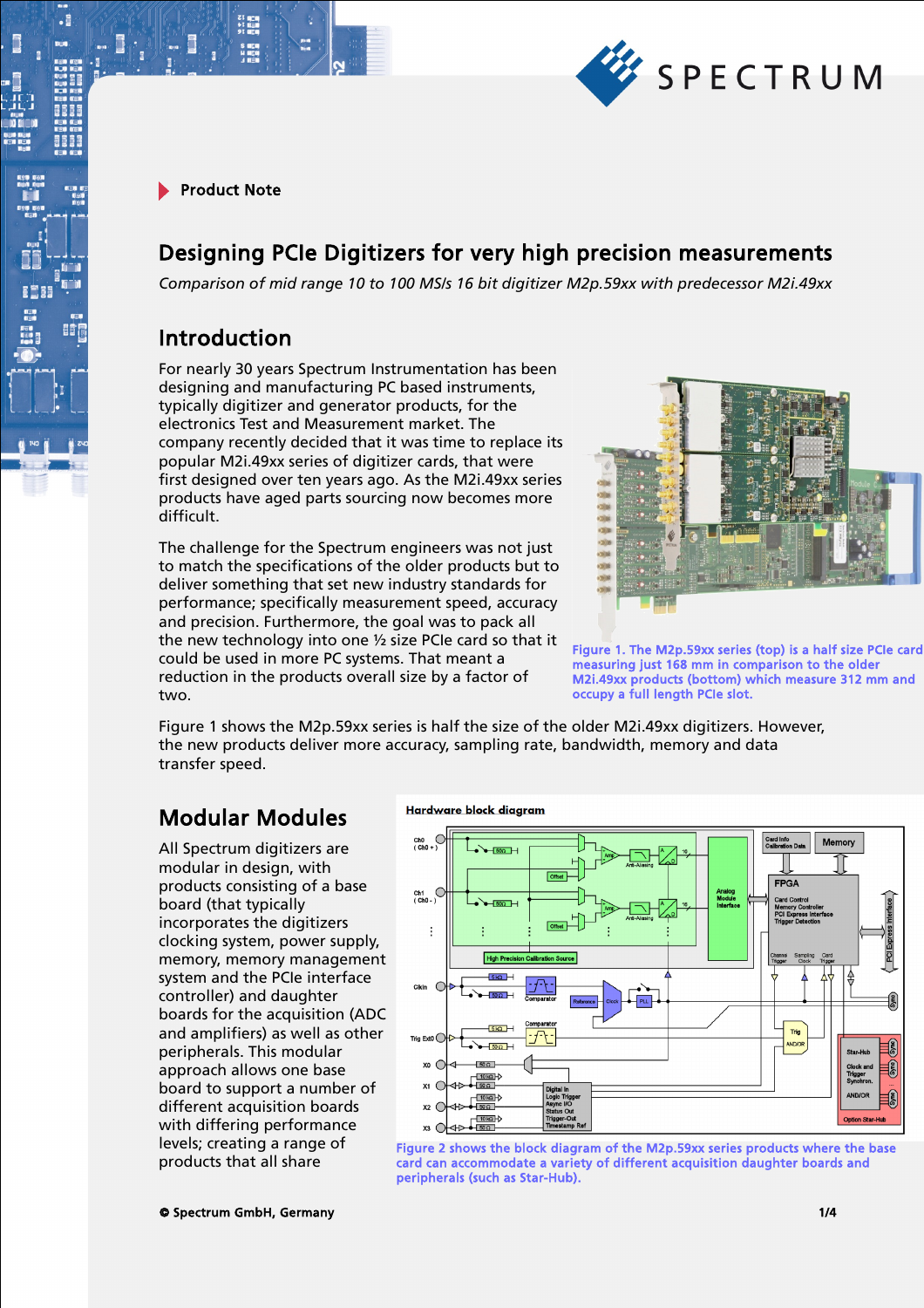

 $\cdot$ E

## Designing PCIe Digitizers for very high precision measurements

*Comparison of mid range 10 to 100 MS/s 16 bit digitizer M2p.59xx with predecessor M2i.49xx*

### Introduction

For nearly 30 years Spectrum Instrumentation has been designing and manufacturing PC based instruments, typically digitizer and generator products, for the electronics Test and Measurement market. The company recently decided that it was time to replace its popular M2i.49xx series of digitizer cards, that were first designed over ten years ago. As the M2i.49xx series products have aged parts sourcing now becomes more difficult.

The challenge for the Spectrum engineers was not just to match the specifications of the older products but to deliver something that set new industry standards for performance; specifically measurement speed, accuracy and precision. Furthermore, the goal was to pack all the new technology into one ½ size PCIe card so that it could be used in more PC systems. That meant a reduction in the products overall size by a factor of two.



Figure 1. The M2p.59xx series (top) is a half size PCIe card measuring just 168 mm in comparison to the older M2i.49xx products (bottom) which measure 312 mm and occupy a full length PCIe slot.

Figure 1 shows the M2p.59xx series is half the size of the older M2i.49xx digitizers. However, the new products deliver more accuracy, sampling rate, bandwidth, memory and data transfer speed.

## Modular Modules

All Spectrum digitizers are modular in design, with products consisting of a base board (that typically incorporates the digitizers clocking system, power supply, memory, memory management system and the PCIe interface controller) and daughter boards for the acquisition (ADC and amplifiers) as well as other peripherals. This modular approach allows one base board to support a number of different acquisition boards with differing performance levels; creating a range of products that all share

#### Hardware block diagram



Figure 2 shows the block diagram of the M2p.59xx series products where the base card can accommodate a variety of different acquisition daughter boards and peripherals (such as Star-Hub).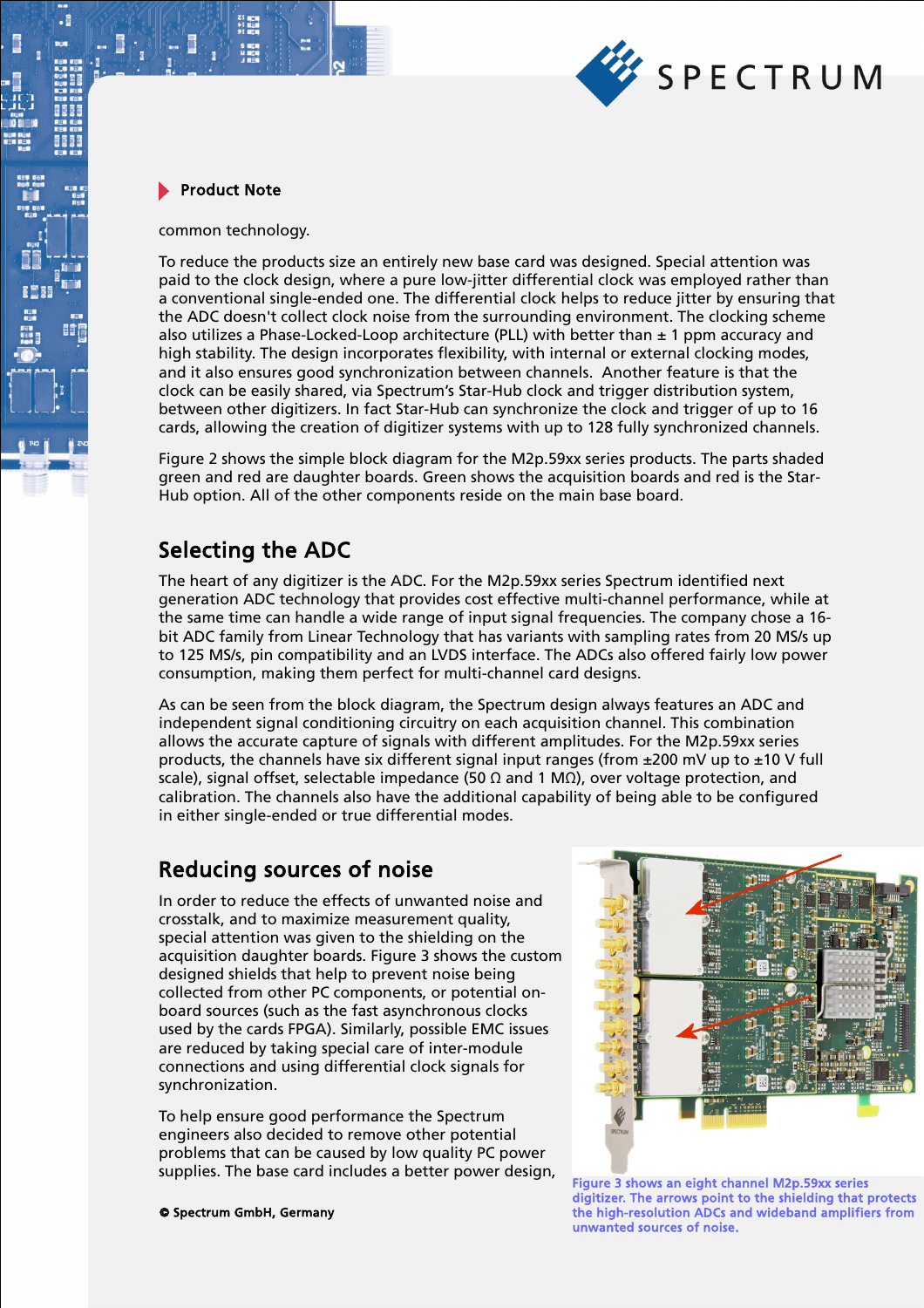

common technology.

To reduce the products size an entirely new base card was designed. Special attention was paid to the clock design, where a pure low-jitter differential clock was employed rather than a conventional single-ended one. The differential clock helps to reduce jitter by ensuring that the ADC doesn't collect clock noise from the surrounding environment. The clocking scheme also utilizes a Phase-Locked-Loop architecture (PLL) with better than  $\pm$  1 ppm accuracy and high stability. The design incorporates flexibility, with internal or external clocking modes, and it also ensures good synchronization between channels. Another feature is that the clock can be easily shared, via Spectrum's Star-Hub clock and trigger distribution system, between other digitizers. In fact Star-Hub can synchronize the clock and trigger of up to 16 cards, allowing the creation of digitizer systems with up to 128 fully synchronized channels.

Figure 2 shows the simple block diagram for the M2p.59xx series products. The parts shaded green and red are daughter boards. Green shows the acquisition boards and red is the Star-Hub option. All of the other components reside on the main base board.

### Selecting the ADC

The heart of any digitizer is the ADC. For the M2p.59xx series Spectrum identified next generation ADC technology that provides cost effective multi-channel performance, while at the same time can handle a wide range of input signal frequencies. The company chose a 16 bit ADC family from Linear Technology that has variants with sampling rates from 20 MS/s up to 125 MS/s, pin compatibility and an LVDS interface. The ADCs also offered fairly low power consumption, making them perfect for multi-channel card designs.

As can be seen from the block diagram, the Spectrum design always features an ADC and independent signal conditioning circuitry on each acquisition channel. This combination allows the accurate capture of signals with different amplitudes. For the M2p.59xx series products, the channels have six different signal input ranges (from  $\pm 200$  mV up to  $\pm 10$  V full scale), signal offset, selectable impedance (50 Ω and 1 MΩ), over voltage protection, and calibration. The channels also have the additional capability of being able to be configured in either single-ended or true differential modes.

## Reducing sources of noise

In order to reduce the effects of unwanted noise and crosstalk, and to maximize measurement quality, special attention was given to the shielding on the acquisition daughter boards. Figure 3 shows the custom designed shields that help to prevent noise being collected from other PC components, or potential onboard sources (such as the fast asynchronous clocks used by the cards FPGA). Similarly, possible EMC issues are reduced by taking special care of inter-module connections and using differential clock signals for synchronization.

To help ensure good performance the Spectrum engineers also decided to remove other potential problems that can be caused by low quality PC power supplies. The base card includes a better power design,



© Spectrum GmbH, Germany 2/4 the high-resolution ADCs and wideband amplifiers from Figure 3 shows an eight channel M2p.59xx series digitizer. The arrows point to the shielding that protects unwanted sources of noise.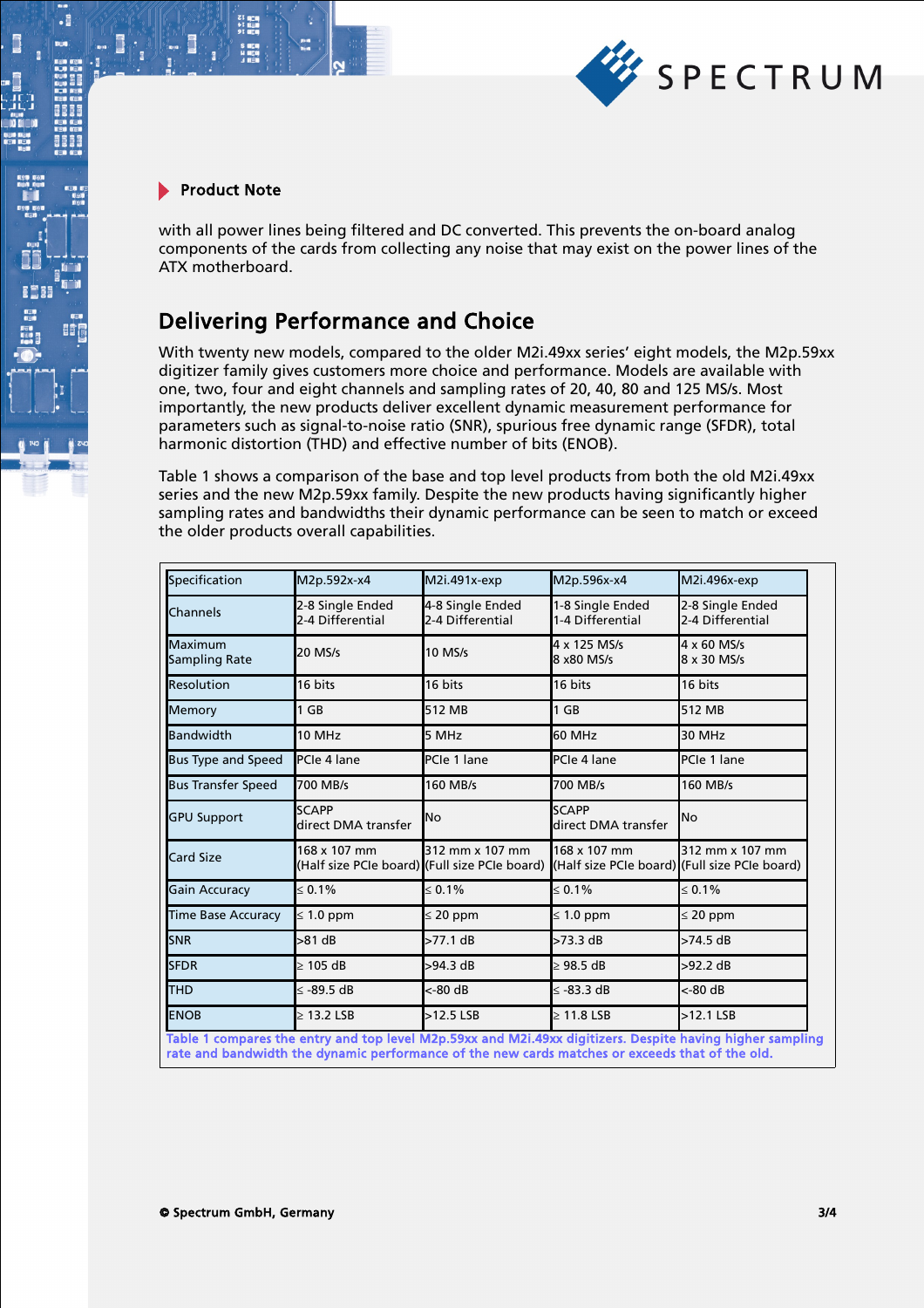

 $\cdot$ E

with all power lines being filtered and DC converted. This prevents the on-board analog components of the cards from collecting any noise that may exist on the power lines of the ATX motherboard.

# Delivering Performance and Choice

With twenty new models, compared to the older M2i.49xx series' eight models, the M2p.59xx digitizer family gives customers more choice and performance. Models are available with one, two, four and eight channels and sampling rates of 20, 40, 80 and 125 MS/s. Most importantly, the new products deliver excellent dynamic measurement performance for parameters such as signal-to-noise ratio (SNR), spurious free dynamic range (SFDR), total harmonic distortion (THD) and effective number of bits (ENOB).

Table 1 shows a comparison of the base and top level products from both the old M2i.49xx series and the new M2p.59xx family. Despite the new products having significantly higher sampling rates and bandwidths their dynamic performance can be seen to match or exceed the older products overall capabilities.

| Specification             | M2p.592x-x4                          | M2i.491x-exp                                                     | M2p.596x-x4                                                   | M2i.496x-exp                         |
|---------------------------|--------------------------------------|------------------------------------------------------------------|---------------------------------------------------------------|--------------------------------------|
| Channels                  | 2-8 Single Ended<br>2-4 Differential | 4-8 Single Ended<br>2-4 Differential                             | 1-8 Single Ended<br>1-4 Differential                          | 2-8 Single Ended<br>2-4 Differential |
| Maximum<br>Sampling Rate  | 20 MS/s                              | 10 MS/s                                                          | 4 x 125 MS/s<br>8 x80 MS/s                                    | 4 x 60 MS/s<br>8 x 30 MS/s           |
| <b>Resolution</b>         | 16 bits                              | 16 bits                                                          | 16 bits                                                       | 16 bits                              |
| Memory                    | $1$ GB                               | 512 MB                                                           | $1$ GB                                                        | 512 MB                               |
| Bandwidth                 | 10 MHz                               | 5 MHz                                                            | 60 MHz                                                        | 30 MHz                               |
| <b>Bus Type and Speed</b> | PCle 4 lane                          | PCIe 1 lane                                                      | PCIe 4 lane                                                   | PCIe 1 lane                          |
| <b>Bus Transfer Speed</b> | 700 MB/s                             | 160 MB/s                                                         | 700 MB/s                                                      | 160 MB/s                             |
| <b>GPU Support</b>        | <b>SCAPP</b><br>direct DMA transfer  | <b>No</b>                                                        | <b>SCAPP</b><br>direct DMA transfer                           | No                                   |
| <b>Card Size</b>          | 168 x 107 mm                         | 312 mm x 107 mm<br>(Half size PCIe board) (Full size PCIe board) | 168 x 107 mm<br>(Half size PCIe board) (Full size PCIe board) | 312 mm x 107 mm                      |
| <b>Gain Accuracy</b>      | $\leq 0.1\%$                         | $\leq 0.1\%$                                                     | $\leq 0.1\%$                                                  | $\leq 0.1\%$                         |
| <b>Time Base Accuracy</b> | $\leq 1.0$ ppm                       | $\leq$ 20 ppm                                                    | $\leq 1.0$ ppm                                                | $\leq 20$ ppm                        |
| <b>SNR</b>                | >81 dB                               | >77.1 dB                                                         | >73.3 dB                                                      | $>74.5$ dB                           |
| <b>SFDR</b>               | $\geq 105$ dB                        | >94.3 dB                                                         | $>98.5$ dB                                                    | $>92.2$ dB                           |
| <b>THD</b>                | ≤ -89.5 dB                           | <-80 dB                                                          | ≤ -83.3 dB                                                    | <-80 dB                              |
| <b>ENOB</b>               | $\geq$ 13.2 LSB                      | $>12.5$ LSB                                                      | $\geq 11.8$ LSB                                               | $>12.1$ LSB                          |

Table 1 compares the entry and top level M2p.59xx and M2i.49xx digitizers. Despite having higher sampling rate and bandwidth the dynamic performance of the new cards matches or exceeds that of the old.